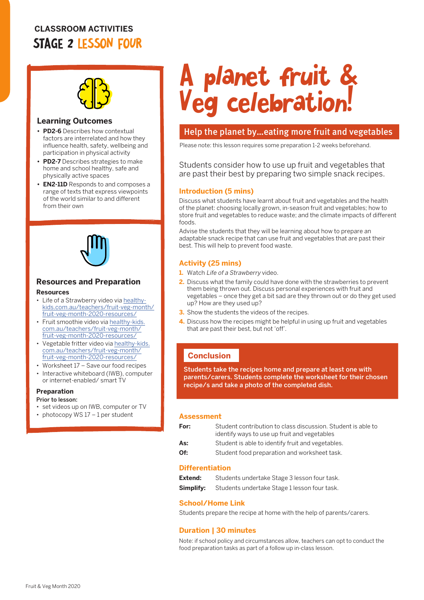# **CLASSROOM ACTIVITIES** STAGE 2 LESSON FOUR



#### **Learning Outcomes**

- **• PD2-6** Describes how contextual factors are interrelated and how they influence health, safety, wellbeing and participation in physical activity
- **• PD2-7** Describes strategies to make home and school healthy, safe and physically active spaces
- **• EN2-11D** Responds to and composes a range of texts that express viewpoints of the world similar to and different from their own



# **Resources and Preparation**

#### **Resources**

- Life of a Strawberry video via [healthy](http://healthy-kids.com.au/teachers/fruit-veg-month/fruit-veg-month-2020-resources/)[kids.com.au/teachers/fruit-veg-month/](http://healthy-kids.com.au/teachers/fruit-veg-month/fruit-veg-month-2020-resources/) [fruit-veg-month-2020-resources/](http://healthy-kids.com.au/teachers/fruit-veg-month/fruit-veg-month-2020-resources/)
- Fruit smoothie video via [healthy-kids.](http://healthy-kids.com.au/teachers/fruit-veg-month/fruit-veg-month-2020-resources/) [com.au/teachers/fruit-veg-month/](http://healthy-kids.com.au/teachers/fruit-veg-month/fruit-veg-month-2020-resources/) [fruit-veg-month-2020-resources/](http://healthy-kids.com.au/teachers/fruit-veg-month/fruit-veg-month-2020-resources/)
- Vegetable fritter video via [healthy-kids.](http://healthy-kids.com.au/teachers/fruit-veg-month/fruit-veg-month-2020-resources/) [com.au/teachers/fruit-veg-month/](http://healthy-kids.com.au/teachers/fruit-veg-month/fruit-veg-month-2020-resources/) [fruit-veg-month-2020-resources/](http://healthy-kids.com.au/teachers/fruit-veg-month/fruit-veg-month-2020-resources/)
- Worksheet 17 Save our food recipes
- Interactive whiteboard (IWB), computer or internet-enabled/ smart TV

#### **Preparation**

Prior to lesson:

- set videos up on IWB, computer or TV
- photocopy WS 17 1 per student

# A planet fruit & Veg celebration!

## Help the planet by…eating more fruit and vegetables

Please note: this lesson requires some preparation 1-2 weeks beforehand.

Students consider how to use up fruit and vegetables that are past their best by preparing two simple snack recipes.

#### **Introduction (5 mins)**

Discuss what students have learnt about fruit and vegetables and the health of the planet: choosing locally grown, in-season fruit and vegetables; how to store fruit and vegetables to reduce waste; and the climate impacts of different foods.

Advise the students that they will be learning about how to prepare an adaptable snack recipe that can use fruit and vegetables that are past their best. This will help to prevent food waste.

#### **Activity (25 mins)**

- **1.** Watch Life of a Strawberry video.
- **2.** Discuss what the family could have done with the strawberries to prevent them being thrown out. Discuss personal experiences with fruit and vegetables – once they get a bit sad are they thrown out or do they get used up? How are they used up?
- **3.** Show the students the videos of the recipes.
- **4.** Discuss how the recipes might be helpful in using up fruit and vegetables that are past their best, but not 'off'.

# **Conclusion**

Students take the recipes home and prepare at least one with parents/carers. Students complete the worksheet for their chosen recipe/s and take a photo of the completed dish.

#### **Assessment**

| For: | Student contribution to class discussion. Student is able to<br>identify ways to use up fruit and vegetables |
|------|--------------------------------------------------------------------------------------------------------------|
| As:  | Student is able to identify fruit and vegetables.                                                            |
| Of:  | Student food preparation and worksheet task.                                                                 |

#### **Differentiation**

| Extend:   | Students undertake Stage 3 lesson four task. |
|-----------|----------------------------------------------|
| Simplify: | Students undertake Stage 1 lesson four task. |

#### **School/Home Link**

Students prepare the recipe at home with the help of parents/carers.

#### **Duration | 30 minutes**

Note: if school policy and circumstances allow, teachers can opt to conduct the food preparation tasks as part of a follow up in-class lesson.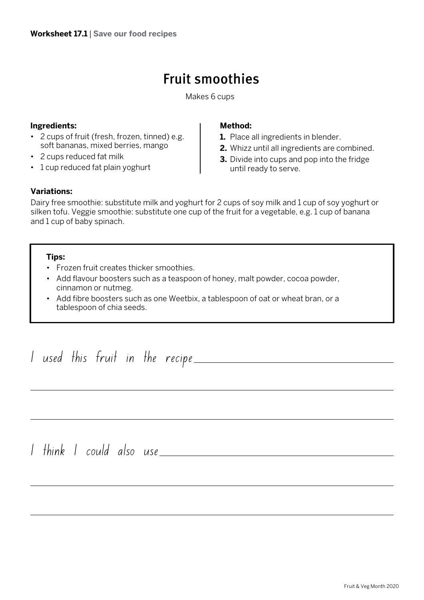# Fruit smoothies

Makes 6 cups

# **Ingredients:**

- 2 cups of fruit (fresh, frozen, tinned) e.g. soft bananas, mixed berries, mango
- 2 cups reduced fat milk
- 1 cup reduced fat plain yoghurt

## **Method:**

- **1.** Place all ingredients in blender.
- **2.** Whizz until all ingredients are combined.
- **3.** Divide into cups and pop into the fridge until ready to serve.

# **Variations:**

Dairy free smoothie: substitute milk and yoghurt for 2 cups of soy milk and 1 cup of soy yoghurt or silken tofu. Veggie smoothie: substitute one cup of the fruit for a vegetable, e.g. 1 cup of banana and 1 cup of baby spinach.

## **Tips:**

- Frozen fruit creates thicker smoothies.
- Add flavour boosters such as a teaspoon of honey, malt powder, cocoa powder, cinnamon or nutmeg.
- Add fibre boosters such as one Weetbix, a tablespoon of oat or wheat bran, or a tablespoon of chia seeds.

I used this fruit in the recipe I think I could also use